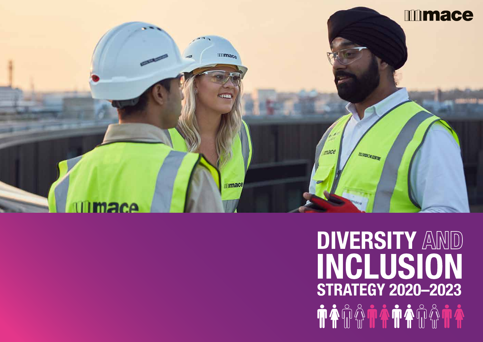

# **DIVERSITY AND** INCLUSION **STRATEGY 2020-2023** TA QQ QQQQQQQQQQQ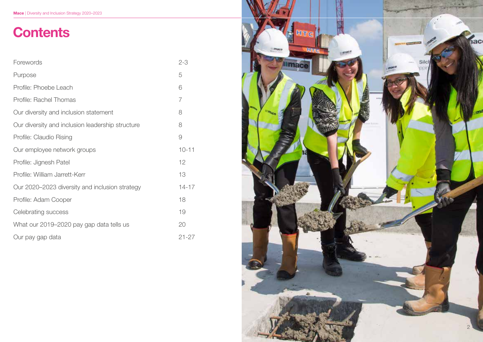# **Contents**

| Forewords                                        | $2 - 3$   |
|--------------------------------------------------|-----------|
| Purpose                                          | 5         |
| Profile: Phoebe Leach                            | 6         |
| Profile: Rachel Thomas                           | 7         |
| Our diversity and inclusion statement            | 8         |
| Our diversity and inclusion leadership structure | 8         |
| Profile: Claudio Rising                          | 9         |
| Our employee network groups                      | $10 - 11$ |
| Profile: Jignesh Patel                           | 12        |
| Profile: William Jarrett-Kerr                    | 13        |
| Our 2020–2023 diversity and inclusion strategy   | $14 - 17$ |
| Profile: Adam Cooper                             | 18        |
| Celebrating success                              | 19        |
| What our 2019–2020 pay gap data tells us         | 20        |
| Our pay gap data                                 | $21 - 27$ |

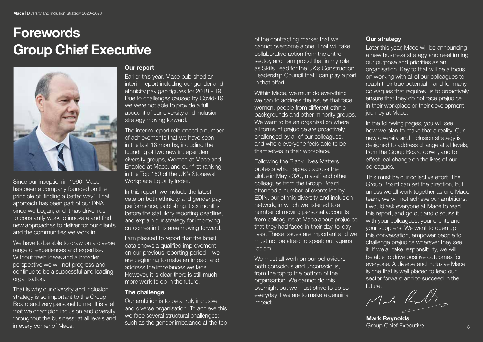# Forewords Group Chief Executive



Since our inception in 1990, Mace has been a company founded on the principle of 'finding a better way'. That approach has been part of our DNA since we began, and it has driven us to constantly work to innovate and find new approaches to deliver for our clients and the communities we work in.

We have to be able to draw on a diverse range of experiences and expertise. Without fresh ideas and a broader perspective we will not progress and continue to be a successful and leading organisation.

That is why our diversity and inclusion strategy is so important to the Group Board and very personal to me. It is vital that we champion inclusion and diversity throughout the business; at all levels and in every corner of Mace.

#### Our report

Earlier this year, Mace published an interim report including our gender and ethnicity pay gap figures for 2018 - 19. Due to challenges caused by Covid-19, we were not able to provide a full account of our diversity and inclusion strategy moving forward.

The interim report referenced a number of achievements that we have seen in the last 18 months, including the founding of two new independent diversity groups, Women at Mace and Enabled at Mace, and our first ranking in the Top 150 of the UK's Stonewall Workplace Equality Index.

In this report, we include the latest data on both ethnicity and gender pay performance, publishing it six months before the statutory reporting deadline, and explain our strategy for improving outcomes in this area moving forward.

I am pleased to report that the latest data shows a qualified improvement on our previous reporting period – we are beginning to make an impact and address the imbalances we face. However, it is clear there is still much more work to do in the future.

#### The challenge

Our ambition is to be a truly inclusive and diverse organisation. To achieve this we face several structural challenges; such as the gender imbalance at the top of the contracting market that we cannot overcome alone. That will take collaborative action from the entire sector, and I am proud that in my role as Skills Lead for the UK's Construction Leadership Council that I can play a part in that effort.

Within Mace, we must do everything we can to address the issues that face women, people from different ethnic backgrounds and other minority groups. We want to be an organisation where all forms of prejudice are proactively challenged by all of our colleagues, and where everyone feels able to be themselves in their workplace.

Following the Black Lives Matters protests which spread across the globe in May 2020, myself and other colleagues from the Group Board attended a number of events led by EDIN, our ethnic diversity and inclusion network, in which we listened to a number of moving personal accounts from colleagues at Mace about prejudice that they had faced in their day-to-day lives. These issues are important and we must not be afraid to speak out against racism.

We must all work on our behaviours. both conscious and unconscious, from the top to the bottom of the organisation. We cannot do this overnight but we must strive to do so everyday if we are to make a genuine impact.

#### Our strategy

Later this year, Mace will be announcing a new business strategy and re-affirming our purpose and priorities as an organisation. Key to that will be a focus on working with all of our colleagues to reach their true potential – and for many colleagues that requires us to proactively ensure that they do not face prejudice in their workplace or their development journey at Mace.

In the following pages, you will see how we plan to make that a reality. Our new diversity and inclusion strategy is designed to address change at all levels, from the Group Board down, and to effect real change on the lives of our colleagues.

This must be our collective effort. The Group Board can set the direction, but unless we all work together as one Mace team, we will not achieve our ambitions. I would ask everyone at Mace to read this report, and go out and discuss it with your colleagues, your clients and your suppliers. We want to open up this conversation, empower people to challenge prejudice wherever they see it. If we all take responsibility, we will be able to drive positive outcomes for everyone. A diverse and inclusive Mace is one that is well placed to lead our sector forward and to succeed in the

future.<br>Monte Rull

Mark Reynolds Group Chief Executive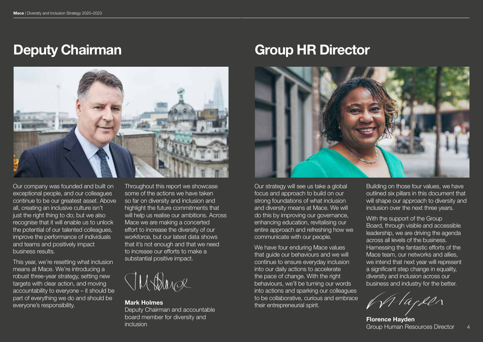

Our company was founded and built on exceptional people, and our colleagues continue to be our greatest asset. Above all, creating an inclusive culture isn't just the right thing to do; but we also recognise that it will enable us to unlock the potential of our talented colleagues, improve the performance of individuals and teams and positively impact business results.

This year, we're resetting what inclusion means at Mace. We're introducing a robust three-year strategy, setting new targets with clear action, and moving accountability to everyone – it should be part of everything we do and should be everyone's responsibility.

Throughout this report we showcase some of the actions we have taken so far on diversity and inclusion and highlight the future commitments that will help us realise our ambitions. Across Mace we are making a concerted effort to increase the diversity of our workforce, but our latest data shows that it's not enough and that we need to increase our efforts to make a substantial positive impact.



Mark Holmes Deputy Chairman and accountable board member for diversity and board member for diversity and<br>inclusion Florence Hayden inclusion Crown Reserved in the Crown Reserved in the Crown Human Res

# Deputy Chairman Group HR Director



Our strategy will see us take a global focus and approach to build on our strong foundations of what inclusion and diversity means at Mace. We will do this by improving our governance, enhancing education, revitalising our entire approach and refreshing how we communicate with our people.

We have four enduring Mace values that guide our behaviours and we will continue to ensure everyday inclusion into our daily actions to accelerate the pace of change. With the right behaviours, we'll be turning our words into actions and sparking our colleagues to be collaborative, curious and embrace their entrepreneurial spirit.

Building on those four values, we have outlined six pillars in this document that will shape our approach to diversity and inclusion over the next three years.

With the support of the Group Board, through visible and accessible leadership, we are driving the agenda across all levels of the business. Harnessing the fantastic efforts of the Mace team, our networks and allies, we intend that next year will represent a significant step change in equality, diversity and inclusion across our business and industry for the better.

Marken

Group Human Resources Director

4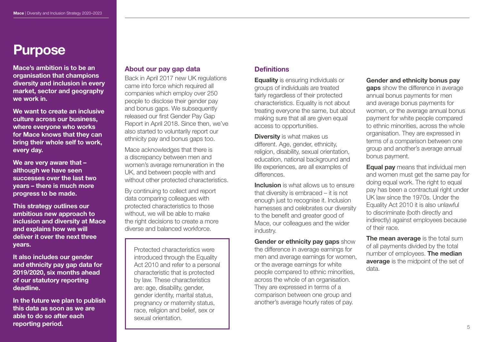# Purpose

Mace's ambition is to be an organisation that champions diversity and inclusion in every market, sector and geography we work in.

We want to create an inclusive culture across our business, where everyone who works for Mace knows that they can bring their whole self to work, every day.

We are very aware that although we have seen successes over the last two years – there is much more progress to be made.

This strategy outlines our ambitious new approach to inclusion and diversity at Mace and explains how we will deliver it over the next three years.

It also includes our gender and ethnicity pay gap data for 2019/2020, six months ahead of our statutory reporting deadline.

In the future we plan to publish this data as soon as we are able to do so after each reporting period.

## About our pay gap data

Back in April 2017 new UK regulations came into force which required all companies which employ over 250 people to disclose their gender pay and bonus gaps. We subsequently released our first Gender Pay Gap Report in April 2018. Since then, we've also started to voluntarily report our ethnicity pay and bonus gaps too.

Mace acknowledges that there is a discrepancy between men and women's average remuneration in the UK, and between people with and without other protected characteristics.

By continuing to collect and report data comparing colleagues with protected characteristics to those without, we will be able to make the right decisions to create a more diverse and balanced workforce.

Protected characteristics were introduced through the Equality Act 2010 and refer to a personal characteristic that is protected by law. These characteristics are: age, disability, gender, gender identity, marital status, pregnancy or maternity status, race, religion and belief, sex or sexual orientation.

# **Definitions**

**Equality** is ensuring individuals or groups of individuals are treated fairly regardless of their protected characteristics. Equality is not about treating everyone the same, but about making sure that all are given equal access to opportunities.

**Diversity** is what makes us different. Age, gender, ethnicity, religion, disability, sexual orientation, education, national background and life experiences, are all examples of differences.

Inclusion is what allows us to ensure that diversity is embraced – it is not enough just to recognise it. Inclusion harnesses and celebrates our diversity to the benefit and greater good of Mace, our colleagues and the wider industry.

Gender or ethnicity pay gaps show the difference in average earnings for men and average earnings for women, or the average earnings for white people compared to ethnic minorities, across the whole of an organisation. They are expressed in terms of a comparison between one group and another's average hourly rates of pay.

#### Gender and ethnicity bonus pay

**gaps** show the difference in average annual bonus payments for men and average bonus payments for women, or the average annual bonus payment for white people compared to ethnic minorities, across the whole organisation. They are expressed in terms of a comparison between one group and another's average annual bonus payment.

**Equal pay** means that individual men and women must get the same pay for doing equal work. The right to equal pay has been a contractual right under UK law since the 1970s. Under the Equality Act 2010 it is also unlawful to discriminate (both directly and indirectly) against employees because of their race.

The mean average is the total sum of all payments divided by the total number of employees. **The median** average is the midpoint of the set of data.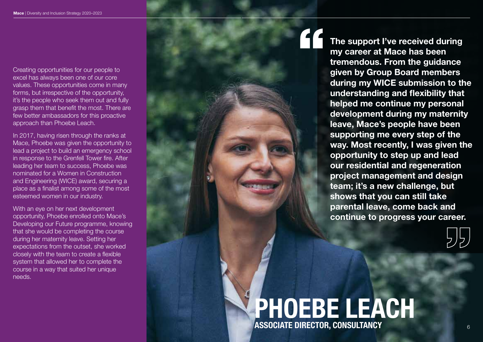Creating opportunities for our people to excel has always been one of our core values. These opportunities come in many forms, but irrespective of the opportunity, it's the people who seek them out and fully grasp them that benefit the most. There are few better ambassadors for this proactive approach than Phoebe Leach.

In 2017, having risen through the ranks at Mace, Phoebe was given the opportunity to lead a project to build an emergency school in response to the Grenfell Tower fire. After leading her team to success, Phoebe was nominated for a Women in Construction and Engineering (WICE) award, securing a place as a finalist among some of the most esteemed women in our industry.

With an eye on her next development opportunity, Phoebe enrolled onto Mace's Developing our Future programme, knowing that she would be completing the course during her maternity leave. Setting her expectations from the outset, she worked closely with the team to create a flexible system that allowed her to complete the course in a way that suited her unique needs.

The support I've received during my career at Mace has been tremendous. From the guidance given by Group Board members during my WICE submission to the understanding and flexibility that helped me continue my personal development during my maternity leave, Mace's people have been supporting me every step of the way. Most recently, I was given the opportunity to step up and lead our residential and regeneration project management and design team; it's a new challenge, but shows that you can still take parental leave, come back and continue to progress your career.

# PHOEBE LEACH ASSOCIATE DIRECTOR, CONSULTANCY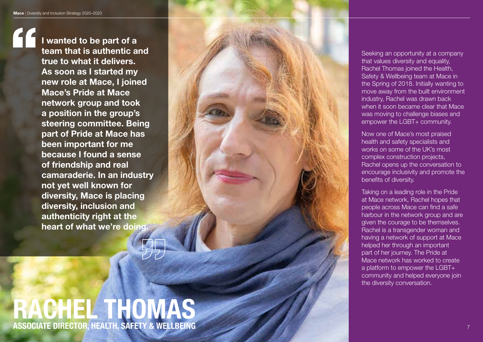I wanted to be part of a team that is authentic and true to what it delivers. As soon as I started my new role at Mace, I joined Mace's Pride at Mace network group and took a position in the group's steering committee. Being part of Pride at Mace has been important for me because I found a sense of friendship and real camaraderie. In an industry not yet well known for diversity, Mace is placing diversity, inclusion and authenticity right at the heart of what we're doing.

# RACHEL THOMAS ASSOCIATE DIRECTOR, HEALTH, SAFETY & WELLBEING



Seeking an opportunity at a company that values diversity and equality, Rachel Thomas joined the Health, Safety & Wellbeing team at Mace in the Spring of 2018. Initially wanting to move away from the built environment industry, Rachel was drawn back when it soon became clear that Mace was moving to challenge biases and empower the LGBT+ community.

Now one of Mace's most praised health and safety specialists and works on some of the UK's most complex construction projects, Rachel opens up the conversation to encourage inclusivity and promote the benefits of diversity.

Taking on a leading role in the Pride at Mace network, Rachel hopes that people across Mace can find a safe harbour in the network group and are given the courage to be themselves. Rachel is a transgender woman and having a network of support at Mace helped her through an important part of her journey. The Pride at Mace network has worked to create a platform to empower the LGBT+ community and helped everyone join the diversity conversation.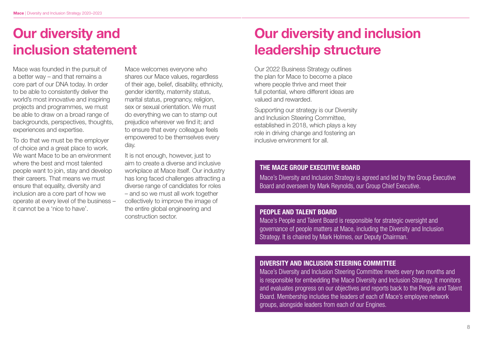# Our diversity and inclusion statement

Mace was founded in the pursuit of a better way – and that remains a core part of our DNA today. In order to be able to consistently deliver the world's most innovative and inspiring projects and programmes, we must be able to draw on a broad range of backgrounds, perspectives, thoughts, experiences and expertise.

To do that we must be the employer of choice and a great place to work. We want Mace to be an environment where the best and most talented people want to join, stay and develop their careers. That means we must ensure that equality, diversity and inclusion are a core part of how we operate at every level of the business – it cannot be a 'nice to have'.

Mace welcomes everyone who shares our Mace values, regardless of their age, belief, disability, ethnicity, gender identity, maternity status, marital status, pregnancy, religion, sex or sexual orientation. We must do everything we can to stamp out prejudice wherever we find it; and to ensure that every colleague feels empowered to be themselves every day.

It is not enough, however, just to aim to create a diverse and inclusive workplace at Mace itself. Our industry has long faced challenges attracting a diverse range of candidates for roles – and so we must all work together collectively to improve the image of the entire global engineering and construction sector.

# Our diversity and inclusion leadership structure

Our 2022 Business Strategy outlines the plan for Mace to become a place where people thrive and meet their full potential, where different ideas are valued and rewarded.

Supporting our strategy is our Diversity and Inclusion Steering Committee, established in 2018, which plays a key role in driving change and fostering an inclusive environment for all.

#### THE MACE GROUP EXECUTIVE BOARD

Mace's Diversity and Inclusion Strategy is agreed and led by the Group Executive Board and overseen by Mark Reynolds, our Group Chief Executive.

#### PEOPLE AND TALENT BOARD

Mace's People and Talent Board is responsible for strategic oversight and governance of people matters at Mace, including the Diversity and Inclusion Strategy. It is chaired by Mark Holmes, our Deputy Chairman.

#### DIVERSITY AND INCLUSION STEERING COMMITTEE

Mace's Diversity and Inclusion Steering Committee meets every two months and is responsible for embedding the Mace Diversity and Inclusion Strategy. It monitors and evaluates progress on our objectives and reports back to the People and Talent Board. Membership includes the leaders of each of Mace's employee network groups, alongside leaders from each of our Engines.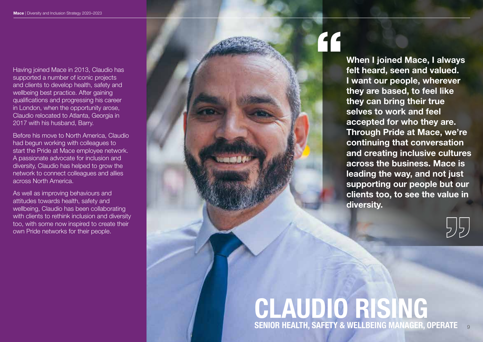Having joined Mace in 2013, Claudio has supported a number of iconic projects and clients to develop health, safety and wellbeing best practice. After gaining qualifications and progressing his career in London, when the opportunity arose, Claudio relocated to Atlanta, Georgia in 2017 with his husband, Barry.

Before his move to North America, Claudio had begun working with colleagues to start the Pride at Mace employee network. A passionate advocate for inclusion and diversity, Claudio has helped to grow the network to connect colleagues and allies across North America.

As well as improving behaviours and attitudes towards health, safety and wellbeing, Claudio has been collaborating with clients to rethink inclusion and diversity too, with some now inspired to create their own Pride networks for their people.

When I joined Mace, I always felt heard, seen and valued. I want our people, wherever they are based, to feel like they can bring their true selves to work and feel accepted for who they are. Through Pride at Mace, we're continuing that conversation and creating inclusive cultures across the business. Mace is leading the way, and not just supporting our people but our clients too, to see the value in diversity.

# CLAUDIO RISING SENIOR HEALTH, SAFETY & WELLBEING MANAGER, OPERATE 9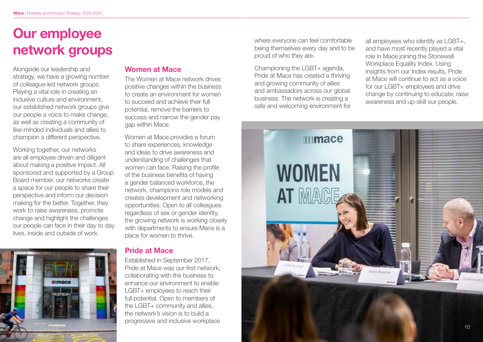# Our employee network groups

Alongside our leadership and strategy, we have a growing number of colleague-led network groups. Playing a vital role in creating an inclusive culture and environment, our established network groups give our people a voice to make change, as well as creating a community of like-minded individuals and allies to champion a different perspective.

Working together, our networks are all employee driven and diligent about making a positive impact. All sponsored and supported by a Group Board member, our networks create a space for our people to share their perspective and inform our decision making for the better. Together, they work to raise awareness, promote change and highlight the challenges our people can face in their day to day lives, inside and outside of work.

# **Illmace**

## Women at Mace

The Women at Mace network drives positive changes within the business to create an environment for women to succeed and achieve their full potential, remove the barriers to success and narrow the gender pay gap within Mace.

Women at Mace provides a forum to share experiences, knowledge and ideas to drive awareness and understanding of challenges that women can face. Raising the profile of the business benefits of having a gender balanced workforce, the network, champions role models and creates development and networking opportunities. Open to all colleagues regardless of sex or gender identity, the growing network is working closely with departments to ensure Mace is a place for women to thrive.

#### Pride at Mace

Established in September 2017, Pride at Mace was our first network, collaborating with the business to enhance our environment to enable LGBT+ employees to reach their full potential. Open to members of the LGBT+ community and allies. the network's vision is to build a progressive and inclusive workplace

where everyone can feel comfortable being themselves every day and to be proud of who they are.

Championing the LGBT+ agenda, Pride at Mace has created a thriving and growing community of allies and ambassadors across our global business. The network is creating a safe and welcoming environment for all employees who identify as LGBT+, and have most recently played a vital role in Mace joining the Stonewall Workplace Equality Index, Using insights from our Index results, Pride at Mace will continue to act as a voice for our LGBT+ employees and drive change by continuing to educate, raise awareness and up-skill our people.

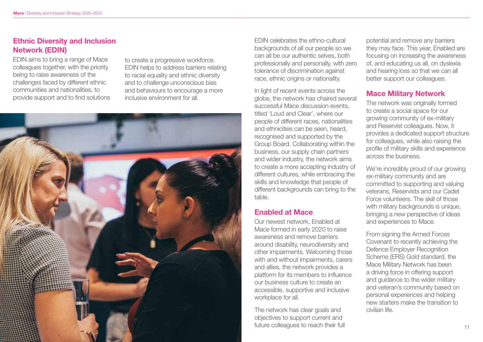# Ethnic Diversity and Inclusion Network (EDIN)

EDIN aims to bring a range of Mace colleagues together, with the priority being to raise awareness of the challenges faced by different ethnic communities and nationalities, to provide support and to find solutions

to create a progressive workforce. EDIN helps to address barriers relating to racial equality and ethnic diversity and to challenge unconscious bias and behaviours to encourage a more inclusive environment for all.



EDIN celebrates the ethno-cultural backgrounds of all our people so we can all be our authentic selves, both professionally and personally, with zero tolerance of discrimination against race, ethnic origins or nationality.

In light of recent events across the globe, the network has chaired several successful Mace discussion events, titled 'Loud and Clear', where our people of different races, nationalities and ethnicities can be seen, heard, recognised and supported by the Group Board. Collaborating within the business, our supply chain partners and wider industry, the network aims to create a more accepting industry of different cultures, while embracing the skills and knowledge that people of different backgrounds can bring to the table.

## Enabled at Mace

Our newest network, Enabled at Mace formed in early 2020 to raise awareness and remove barriers around disability, neurodiversity and other impairments. Welcoming those with and without impairments, carers and allies, the network provides a platform for its members to influence our business culture to create an accessible, supportive and inclusive workplace for all.

The network has clear goals and objectives to support current and future colleagues to reach their full

potential and remove any barriers they may face. This year, Enabled are focusing on increasing the awareness of, and educating us all, on dyslexia and hearing loss so that we can all better support our colleagues.

# Mace Military Network

The network was originally formed to create a social space for our growing community of ex-military and Reservist colleagues. Now, it provides a dedicated support structure for colleagues, while also raising the profile of military skills and experience across the business.

We're incredibly proud of our growing ex-military community and are committed to supporting and valuing veterans, Reservists and our Cadet Force volunteers. The skill of those with military backgrounds is unique. bringing a new perspective of ideas and experiences to Mace.

From signing the Armed Forces Covenant to recently achieving the Defence Employer Recognition Scheme (ERS) Gold standard, the Mace Military Network has been a driving force in offering support and guidance to the wider military and veteran's community based on personal experiences and helping new starters make the transition to civilian life.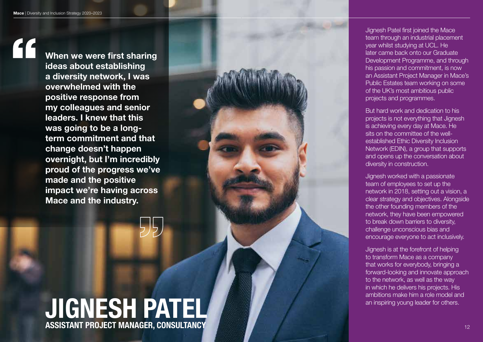$\mathbf{C}$ 

When we were first sharing ideas about establishing a diversity network, I was overwhelmed with the positive response from my colleagues and senior leaders. I knew that this was going to be a longterm commitment and that change doesn't happen overnight, but I'm incredibly proud of the progress we've made and the positive impact we're having across Mace and the industry.

# JIGNESH PATEL ASSISTANT PROJECT MANAGER, CONSULTANCY

Jignesh Patel first joined the Mace team through an industrial placement year whilst studying at UCL. He later came back onto our Graduate Development Programme, and through his passion and commitment, is now an Assistant Project Manager in Mace's Public Estates team working on some of the UK's most ambitious public projects and programmes.

But hard work and dedication to his projects is not everything that Jignesh is achieving every day at Mace. He sits on the committee of the wellestablished Ethic Diversity Inclusion Network (EDIN), a group that supports and opens up the conversation about diversity in construction.

Jignesh worked with a passionate team of employees to set up the network in 2018, setting out a vision, a clear strategy and objectives. Alongside the other founding members of the network, they have been empowered to break down barriers to diversity, challenge unconscious bias and encourage everyone to act inclusively.

Jignesh is at the forefront of helping to transform Mace as a company that works for everybody, bringing a forward-looking and innovate approach to the network, as well as the way in which he delivers his projects. His ambitions make him a role model and an inspiring young leader for others.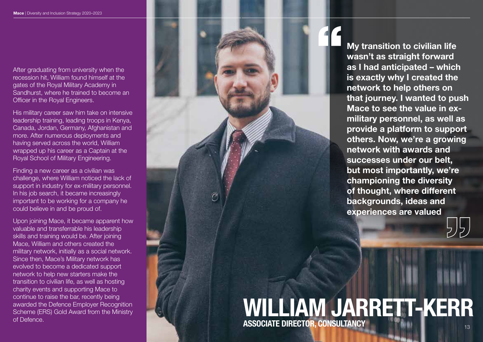After graduating from university when the recession hit, William found himself at the gates of the Royal Military Academy in Sandhurst, where he trained to become an Officer in the Royal Engineers.

His military career saw him take on intensive leadership training, leading troops in Kenya, Canada, Jordan, Germany, Afghanistan and more. After numerous deployments and having served across the world, William wrapped up his career as a Captain at the Royal School of Military Engineering.

Finding a new career as a civilian was challenge, where William noticed the lack of support in industry for ex-military personnel. In his job search, it became increasingly important to be working for a company he could believe in and be proud of.

Upon joining Mace, it became apparent how valuable and transferrable his leadership skills and training would be. After joining Mace, William and others created the military network, initially as a social network. Since then, Mace's Military network has evolved to become a dedicated support network to help new starters make the transition to civilian life, as well as hosting charity events and supporting Mace to continue to raise the bar, recently being awarded the Defence Employer Recognition Scheme (ERS) Gold Award from the Ministry of Defence.



My transition to civilian life wasn't as straight forward as I had anticipated – which is exactly why I created the network to help others on that journey. I wanted to push Mace to see the value in exmilitary personnel, as well as provide a platform to support others. Now, we're a growing network with awards and successes under our belt, but most importantly, we're championing the diversity of thought, where different backgrounds, ideas and experiences are valued

# WILLIAM JARRETT-KERR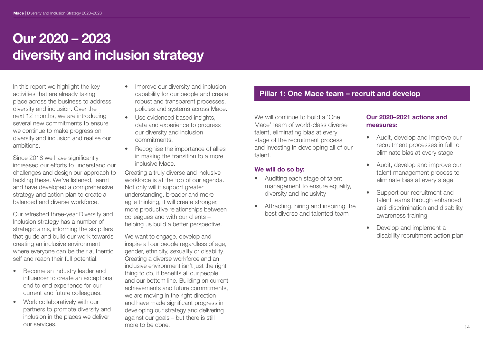In this report we highlight the key activities that are already taking place across the business to address diversity and inclusion. Over the next 12 months, we are introducing several new commitments to ensure we continue to make progress on diversity and inclusion and realise our ambitions.

Since 2018 we have significantly increased our efforts to understand our challenges and design our approach to tackling these. We've listened, learnt and have developed a comprehensive strategy and action plan to create a balanced and diverse workforce.

Our refreshed three-year Diversity and Inclusion strategy has a number of strategic aims, informing the six pillars that guide and build our work towards creating an inclusive environment where everyone can be their authentic self and reach their full potential.

- Become an industry leader and influencer to create an exceptional end to end experience for our current and future colleagues.
- Work collaboratively with our partners to promote diversity and inclusion in the places we deliver our services.
- Improve our diversity and inclusion capability for our people and create robust and transparent processes, policies and systems across Mace.
- Use evidenced based insights. data and experience to progress our diversity and inclusion commitments.
- Recognise the importance of allies in making the transition to a more inclusive Mace.

Creating a truly diverse and inclusive workforce is at the top of our agenda. Not only will it support greater understanding, broader and more agile thinking, it will create stronger, more productive relationships between colleagues and with our clients – helping us build a better perspective.

We want to engage, develop and inspire all our people regardless of age, gender, ethnicity, sexuality or disability. Creating a diverse workforce and an inclusive environment isn't just the right thing to do, it benefits all our people and our bottom line. Building on current achievements and future commitments, we are moving in the right direction and have made significant progress in developing our strategy and delivering against our goals – but there is still more to be done.

## Pillar 1: One Mace team – recruit and develop

We will continue to build a 'One Mace' team of world-class diverse talent, eliminating bias at every stage of the recruitment process and investing in developing all of our talent.

#### We will do so by:

- Auditing each stage of talent management to ensure equality, diversity and inclusivity
- Attracting, hiring and inspiring the best diverse and talented team

#### Our 2020–2021 actions and measures:

- Audit, develop and improve our recruitment processes in full to eliminate bias at every stage
- Audit, develop and improve our talent management process to eliminate bias at every stage
- Support our recruitment and talent teams through enhanced anti-discrimination and disability awareness training
- Develop and implement a disability recruitment action plan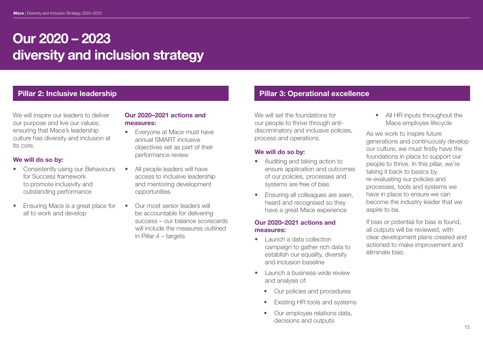We will inspire our leaders to deliver our purpose and live our values; ensuring that Mace's leadership culture has diversity and inclusion at its core.

#### We will do so by:

- Consistently using our Behaviours for Success framework to promote inclusivity and outstanding performance
- Ensuring Mace is a great place for all to work and develop

#### Our 2020–2021 actions and measures:

- Everyone at Mace must have annual SMART inclusive objectives set as part of their performance review
- All people leaders will have access to inclusive leadership and mentoring development opportunities
- Our most senior leaders will be accountable for delivering success – our balance scorecards will include the measures outlined in Pillar 4 – targets

# Pillar 2: Inclusive leadership **Pillar 2: Inclusive leadership** Pillar 3: Operational excellence

We will set the foundations for our people to thrive through antidiscriminatory and inclusive policies, process and operations.

#### We will do so by:

- Auditing and taking action to ensure application and outcomes of our policies, processes and systems are free of bias
- Ensuring all colleagues are seen, heard and recognised so they have a great Mace experience

#### Our 2020–2021 actions and measures:

- Launch a data collection campaign to gather rich data to establish our equality, diversity and inclusion baseline
- Launch a business-wide review and analysis of:
	- Our policies and procedures
	- **Existing HR tools and systems**
	- Our employee relations data, decisions and outputs

• All HR inputs throughout the Mace employee lifecycle

As we work to inspire future generations and continuously develop our culture, we must firstly have the foundations in place to support our people to thrive. In this pillar, we're taking it back to basics by re-evaluating our policies and processes, tools and systems we have in place to ensure we can become the industry leader that we aspire to be.

If bias or potential for bias is found, all outputs will be reviewed, with clear development plans created and actioned to make improvement and eliminate bias.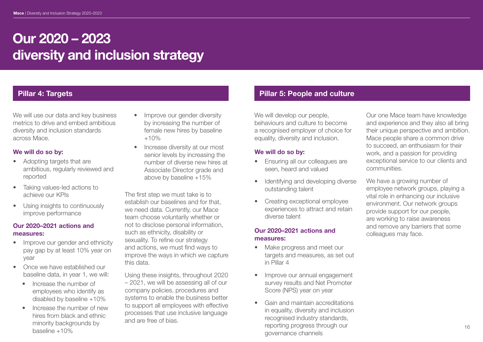We will use our data and key business metrics to drive and embed ambitious diversity and inclusion standards across Mace.

#### We will do so by:

- Adopting targets that are ambitious, regularly reviewed and reported
- Taking values-led actions to achieve our KPIs
- Using insights to continuously improve performance

#### Our 2020–2021 actions and measures:

- Improve our gender and ethnicity pay gap by at least 10% year on year
- Once we have established our baseline data, in year 1, we will:
	- Increase the number of employees who identify as disabled by baseline +10%
	- Increase the number of new hires from black and ethnic minority backgrounds by baseline +10%
- Improve our gender diversity by increasing the number of female new hires by baseline  $+10%$
- Increase diversity at our most senior levels by increasing the number of diverse new hires at Associate Director grade and above by baseline +15%

The first step we must take is to establish our baselines and for that we need data. Currently, our Mace team choose voluntarily whether or not to disclose personal information, such as ethnicity, disability or sexuality. To refine our strategy and actions, we must find ways to improve the ways in which we capture this data.

Using these insights, throughout 2020 – 2021, we will be assessing all of our company policies, procedures and systems to enable the business better to support all employees with effective processes that use inclusive language and are free of bias.

# Pillar 4: Targets **Pillar 4: Targets** Pillar 5: People and culture

We will develop our people, behaviours and culture to become a recognised employer of choice for equality, diversity and inclusion.

#### We will do so by:

- Ensuring all our colleagues are seen, heard and valued
- Identifying and developing diverse outstanding talent
- Creating exceptional employee experiences to attract and retain diverse talent

#### Our 2020–2021 actions and measures:

- Make progress and meet our targets and measures, as set out in Pillar 4
- Improve our annual engagement survey results and Net Promoter Score (NPS) year on year
- Gain and maintain accreditations in equality, diversity and inclusion recognised industry standards, reporting progress through our governance channels

Our one Mace team have knowledge and experience and they also all bring their unique perspective and ambition. Mace people share a common drive to succeed, an enthusiasm for their work, and a passion for providing exceptional service to our clients and communities.

We have a growing number of employee network groups, playing a vital role in enhancing our inclusive environment. Our network groups provide support for our people, are working to raise awareness and remove any barriers that some colleagues may face.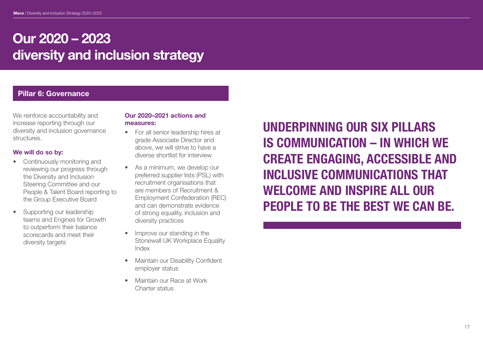# Pillar 6: Governance

We reinforce accountability and increase reporting through our diversity and inclusion governance structures.

#### We will do so by:

- Continuously monitoring and reviewing our progress through the Diversity and Inclusion Steering Committee and our People & Talent Board reporting to the Group Executive Board
- Supporting our leadership teams and Engines for Growth to outperform their balance scorecards and meet their diversity targets

#### Our 2020–2021 actions and measures:

- For all senior leadership hires at grade Associate Director and above, we will strive to have a diverse shortlist for interview
- As a minimum, we develop our preferred supplier lists (PSL) with recruitment organisations that are members of Recruitment & Employment Confederation (REC) and can demonstrate evidence of strong equality, inclusion and diversity practices
- Improve our standing in the Stonewall UK Workplace Equality Index
- Maintain our Disability Confident employer status
- Maintain our Race at Work Charter status

UNDERPINNING OUR SIX PILLARS IS COMMUNICATION – IN WHICH WE CREATE ENGAGING, ACCESSIBLE AND INCLUSIVE COMMUNICATIONS THAT WELCOME AND INSPIRE ALL OUR PEOPLE TO BE THE BEST WE CAN BE.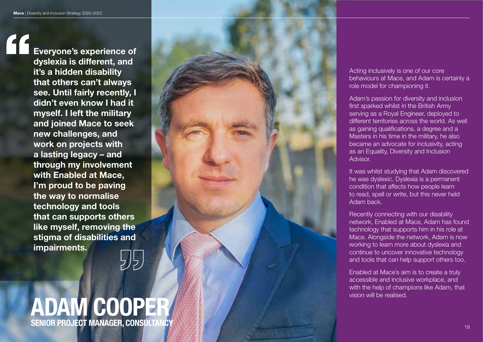Everyone's experience of dyslexia is different, and it's a hidden disability that others can't always see. Until fairly recently, I didn't even know I had it myself. I left the military and joined Mace to seek new challenges, and work on projects with a lasting legacy – and through my involvement with Enabled at Mace, I'm proud to be paving the way to normalise technology and tools that can supports others like myself, removing the stigma of disabilities and impairments.

# ADAM COOPER SENIOR PROJECT MANAGER, CONSULTANCY And the state of the state of the state of the state of the state of the state of the state of the state of the state of the state of the state of the state of the state of the state of

5月.



Acting inclusively is one of our core behaviours at Mace, and Adam is certainly a role model for championing it.

Adam's passion for diversity and inclusion first sparked whilst in the British Army serving as a Royal Engineer, deployed to different territories across the world. As well as gaining qualifications, a degree and a Masters in his time in the military, he also became an advocate for inclusivity, acting as an Equality, Diversity and Inclusion Advisor.

It was whilst studying that Adam discovered he was dyslexic. Dyslexia is a permanent condition that affects how people learn to read, spell or write, but this never held Adam back.

Recently connecting with our disability network, Enabled at Mace, Adam has found technology that supports him in his role at Mace. Alongside the network, Adam is now working to learn more about dyslexia and continue to uncover innovative technology and tools that can help support others too.

Enabled at Mace's aim is to create a truly accessible and inclusive workplace, and with the help of champions like Adam, that vision will be realised.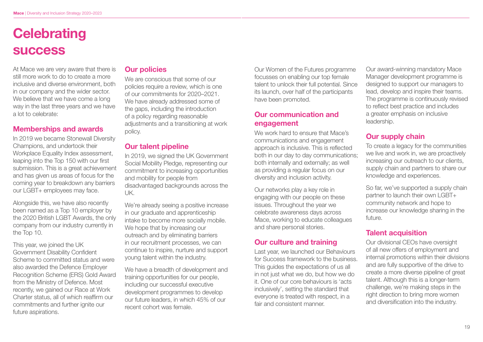# **Celebrating** success

At Mace we are very aware that there is still more work to do to create a more inclusive and diverse environment, both in our company and the wider sector. We believe that we have come a long way in the last three years and we have a lot to celebrate:

# Memberships and awards

In 2019 we became Stonewall Diversity Champions, and undertook their Workplace Equality Index assessment, leaping into the Top 150 with our first submission. This is a great achievement and has given us areas of focus for the coming year to breakdown any barriers our LGBT+ employees may face.

Alongside this, we have also recently been named as a Top 10 employer by the 2020 British LGBT Awards, the only company from our industry currently in the Top 10.

This year, we joined the UK Government Disability Confident Scheme to committed status and were also awarded the Defence Employer Recognition Scheme (ERS) Gold Award from the Ministry of Defence. Most recently, we gained our Race at Work Charter status, all of which reaffirm our commitments and further ignite our future aspirations.

#### Our policies

We are conscious that some of our policies require a review, which is one of our commitments for 2020–2021. We have already addressed some of the gaps, including the introduction of a policy regarding reasonable adjustments and a transitioning at work policy.

## Our talent pipeline

In 2019, we signed the UK Government Social Mobility Pledge, representing our commitment to increasing opportunities and mobility for people from disadvantaged backgrounds across the UK.

We're already seeing a positive increase in our graduate and apprenticeship intake to become more socially mobile. We hope that by increasing our outreach and by eliminating barriers in our recruitment processes, we can continue to inspire, nurture and support young talent within the industry.

We have a breadth of development and training opportunities for our people, including our successful executive development programmes to develop our future leaders, in which 45% of our recent cohort was female.

Our Women of the Futures programme focusses on enabling our top female talent to unlock their full potential. Since its launch, over half of the participants have been promoted.

## Our communication and engagement

We work hard to ensure that Mace's communications and engagement approach is inclusive. This is reflected both in our day to day communications; both internally and externally; as well as providing a regular focus on our diversity and inclusion activity.

Our networks play a key role in engaging with our people on these issues. Throughout the year we celebrate awareness days across Mace, working to educate colleagues and share personal stories.

# Our culture and training

Last year, we launched our Behaviours for Success framework to the business. This guides the expectations of us all in not just what we do, but how we do it. One of our core behaviours is 'acts inclusively', setting the standard that everyone is treated with respect, in a fair and consistent manner.

Our award-winning mandatory Mace Manager development programme is designed to support our managers to lead, develop and inspire their teams. The programme is continuously revised to reflect best practice and includes a greater emphasis on inclusive leadership.

# Our supply chain

To create a legacy for the communities we live and work in, we are proactively increasing our outreach to our clients, supply chain and partners to share our knowledge and experiences.

So far, we've supported a supply chain partner to launch their own LGBT+ community network and hope to increase our knowledge sharing in the future.

# Talent acquisition

Our divisional CEOs have oversight of all new offers of employment and internal promotions within their divisions and are fully supportive of the drive to create a more diverse pipeline of great talent. Although this is a longer-term challenge, we're making steps in the right direction to bring more women and diversification into the industry.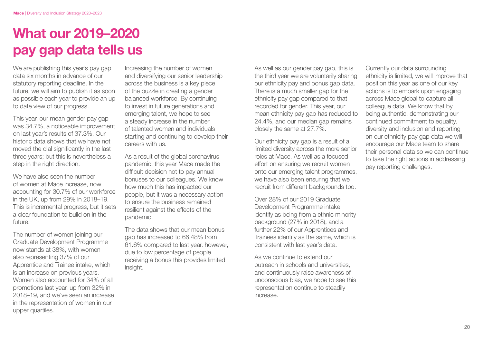# What our 2019–2020 pay gap data tells us

We are publishing this year's pay gap data six months in advance of our statutory reporting deadline. In the future, we will aim to publish it as soon as possible each year to provide an up to date view of our progress.

This year, our mean gender pay gap was 34.7%, a noticeable improvement on last year's results of 37.3%. Our historic data shows that we have not moved the dial significantly in the last three years; but this is nevertheless a step in the right direction.

We have also seen the number of women at Mace increase, now accounting for 30.7% of our workforce in the UK, up from 29% in 2018–19. This is incremental progress, but it sets a clear foundation to build on in the future.

The number of women joining our Graduate Development Programme now stands at 38%, with women also representing 37% of our Apprentice and Trainee intake, which is an increase on previous years. Women also accounted for 34% of all promotions last year, up from 32% in 2018–19, and we've seen an increase in the representation of women in our upper quartiles.

Increasing the number of women and diversifying our senior leadership across the business is a key piece of the puzzle in creating a gender balanced workforce. By continuing to invest in future generations and emerging talent, we hope to see a steady increase in the number of talented women and individuals starting and continuing to develop their careers with us.

As a result of the global coronavirus pandemic, this year Mace made the difficult decision not to pay annual bonuses to our colleagues. We know how much this has impacted our people, but it was a necessary action to ensure the business remained resilient against the effects of the pandemic.

The data shows that our mean bonus gap has increased to 66.48% from 61.6% compared to last year. however, due to low percentage of people receiving a bonus this provides limited insight.

As well as our gender pay gap, this is the third year we are voluntarily sharing our ethnicity pay and bonus gap data. There is a much smaller gap for the ethnicity pay gap compared to that recorded for gender. This year, our mean ethnicity pay gap has reduced to 24.4%, and our median gap remains closely the same at 27.7%.

Our ethnicity pay gap is a result of a limited diversity across the more senior roles at Mace. As well as a focused effort on ensuring we recruit women onto our emerging talent programmes, we have also been ensuring that we recruit from different backgrounds too.

Over 28% of our 2019 Graduate Development Programme intake identify as being from a ethnic minority background (27% in 2018), and a further 22% of our Apprentices and Trainees identify as the same, which is consistent with last year's data.

As we continue to extend our outreach in schools and universities, and continuously raise awareness of unconscious bias, we hope to see this representation continue to steadily increase.

Currently our data surrounding ethnicity is limited, we will improve that position this year as one of our key actions is to embark upon engaging across Mace global to capture all colleague data. We know that by being authentic, demonstrating our continued commitment to equality, diversity and inclusion and reporting on our ethnicity pay gap data we will encourage our Mace team to share their personal data so we can continue to take the right actions in addressing pay reporting challenges.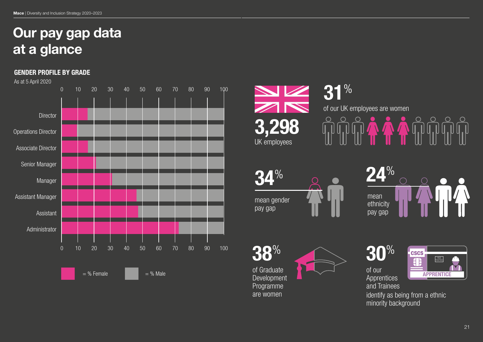# Our pay gap data at a glance

#### GENDER PROFILE BY GRADE















identify as being from a ethnic minority background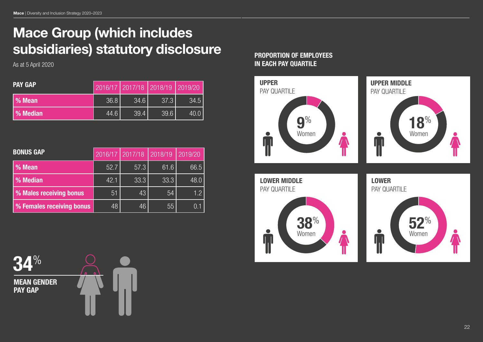# Mace Group (which includes subsidiaries) statutory disclosure

As at 5 April 2020

| <b>PAY GAP</b> |      | 2016/17 2017/18 2018/19 2019/20 |      |      |
|----------------|------|---------------------------------|------|------|
| % Mean         | 36.8 | 34.6                            | 37.3 | 34.5 |
| % Median       | 44.6 | 39.4                            | 39.6 | 40.0 |

| <b>BONUS GAP</b>          | 2016/17 | 2017/18 | 2018/19 | 2019/20 |
|---------------------------|---------|---------|---------|---------|
| % Mean                    | 52.7    | 57.3    | 61.6    | 66.5    |
| % Median                  | 42.1    | 33.3    | 33.3    | 48.0    |
| % Males receiving bonus   | 51      | 43      | 54      | 1.2     |
| % Females receiving bonus | 48      | 46      | 55      |         |

## PROPORTION OF EMPLOYEES IN EACH PAY QUARTILE



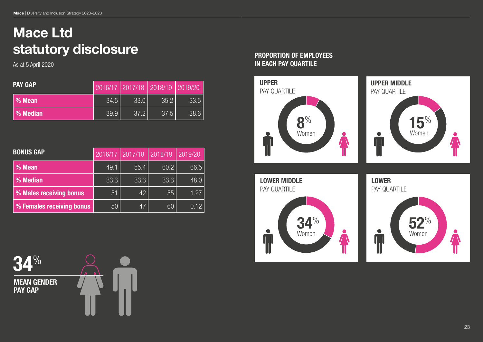# Mace Ltd statutory disclosure

As at 5 April 2020

| <b>PAY GAP</b> |      | 2016/17 2017/18 2018/19 2019/20 |      |      |
|----------------|------|---------------------------------|------|------|
| % Mean         | 34.5 | 33.0                            | 35.2 | 33.5 |
| % Median       | 39.9 | 37.2                            | 37.5 | 38.6 |

| <b>BONUS GAP</b>          | 2016/17 | 2017/18 | 2018/19 | 2019/20 |
|---------------------------|---------|---------|---------|---------|
| % Mean                    | 49.1    | 55.4    | 60.2    | 66.5    |
| % Median                  | 33.3    | 33.3    | 33.3    | 48.0    |
| % Males receiving bonus   | 51      | 42      | 55      | 1.27    |
| % Females receiving bonus | 50      | 47      | 60      | 0.12    |

PROPORTION OF EMPLOYEES IN EACH PAY QUARTILE



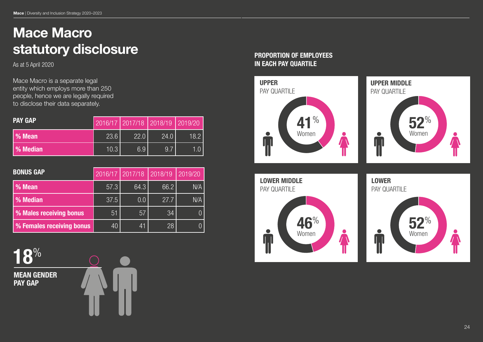# Mace Macro statutory disclosure **PROPORTION OF EMPLOYEES**

As at 5 April 2020

Mace Macro is a separate legal entity which employs more than 250 people, hence we are legally required to disclose their data separately.

| <b>PAY GAP</b> |      |      | 2016/17 2017/18 2018/19 2019/20 |      |
|----------------|------|------|---------------------------------|------|
| % Mean         | 23.6 | 22.0 | 24.0                            | 18.2 |
| % Median       | 10.3 | 6.9  | 9.7                             |      |

| <b>BONUS GAP</b>          | 2016/17 | 2017/18 | 2018/19 | 2019/20 |
|---------------------------|---------|---------|---------|---------|
| % Mean                    | 57.3    | 64.3    | 66.2    | N/A     |
| % Median                  | 37.5    | 0.0     | 27.7    | N/A     |
| % Males receiving bonus   | 51      | 57      | 34      |         |
| % Females receiving bonus | 40      | 41      | 28      |         |

18%

MEAN GENDER PAY GAP



# IN EACH PAY QUARTILE





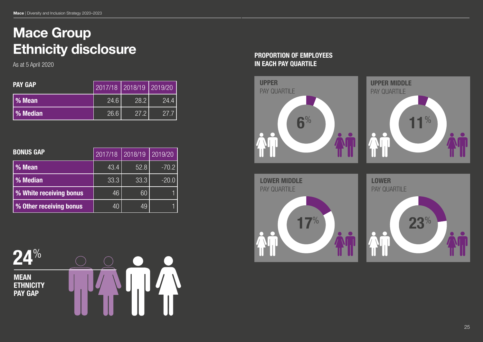# Mace Group Ethnicity disclosure **PROPORTION OF EMPLOYEES**

| <b>PAY GAP</b> | 2017/18 2018/19 2019/20 |      |      |
|----------------|-------------------------|------|------|
| l % Mean       | 24.6                    | 28.2 | 24.4 |
| l % Median     | 26.6                    | 27.2 | 27.7 |

| <b>BONUS GAP</b>        | 2017/18 | 2018/19 | 2019/20 |
|-------------------------|---------|---------|---------|
| % Mean                  | 43.4    | 52.8    | $-70.2$ |
| % Median                | 33.3    | 33.3    | $-20.0$ |
| % White receiving bonus | 46      | 60      |         |
| % Other receiving bonus | 40      | 49      |         |

24% MEAN **ETHNICITY** PAY GAP

# As at 5 April 2020 **IN EACH PAY QUARTILE**

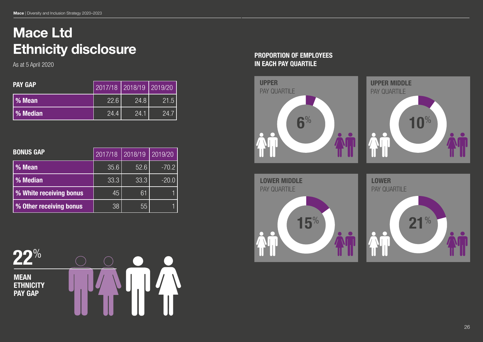# Mace Ltd Ethnicity disclosure **PROPORTION OF EMPLOYEES**

As at 5 April 2020

| <b>PAY GAP</b>  | 2017/18 2018/19 2019/20 |      |      |
|-----------------|-------------------------|------|------|
| l % Mean        | 22.6                    | 24.8 | 21.5 |
| <b>% Median</b> | 24.4                    | 24.1 | 24.7 |

| <b>BONUS GAP</b>        | 2017/18 | 2018/19 | 2019/20 |
|-------------------------|---------|---------|---------|
| % Mean                  | 35.6    | 52.6    | $-70.2$ |
| % Median                | 33.3    | 33.3    | $-20.0$ |
| % White receiving bonus | 45      | 61      |         |
| % Other receiving bonus | 38      | 55      |         |

22% **MEAN ETHNICITY** PAY GAP

# IN EACH PAY QUARTILE

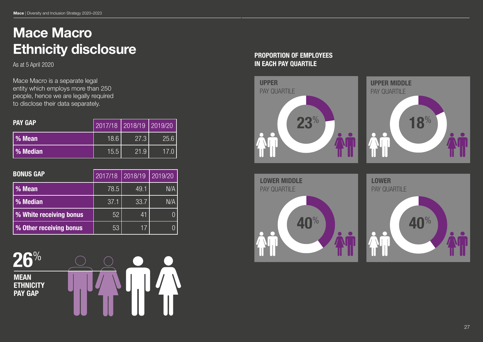# Mace Macro Ethnicity disclosure **PROPORTION OF EMPLOYEES**

As at 5 April 2020

Mace Macro is a separate legal entity which employs more than 250 people, hence we are legally required to disclose their data separately.

| <b>PAY GAP</b> | 2017/18   2018/19   2019/20 |      |      |
|----------------|-----------------------------|------|------|
| % Mean         | 18.6                        | 27.3 | 25.6 |
| % Median       | 15.5                        | 21.9 | 17.0 |

| <b>BONUS GAP</b>        | 2017/18 | 2018/19 | 2019/20 |
|-------------------------|---------|---------|---------|
| % Mean                  | 78.5    | 49.1    | N/A     |
| % Median                | 37.1    | 33.7    | N/A     |
| % White receiving bonus | 52      | 41      |         |
| % Other receiving bonus | 53      | 17      |         |

26% MEAN **ETHNICITY** PAY GAP



# IN EACH PAY QUARTILE